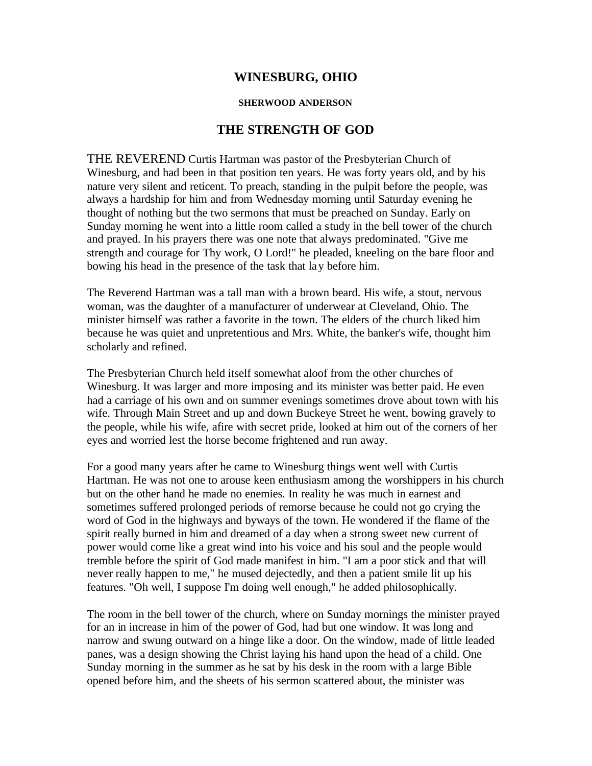## **WINESBURG, OHIO**

## **SHERWOOD ANDERSON**

## **THE STRENGTH OF GOD**

THE REVEREND Curtis Hartman was pastor of the Presbyterian Church of Winesburg, and had been in that position ten years. He was forty years old, and by his nature very silent and reticent. To preach, standing in the pulpit before the people, was always a hardship for him and from Wednesday morning until Saturday evening he thought of nothing but the two sermons that must be preached on Sunday. Early on Sunday morning he went into a little room called a study in the bell tower of the church and prayed. In his prayers there was one note that always predominated. "Give me strength and courage for Thy work, O Lord!" he pleaded, kneeling on the bare floor and bowing his head in the presence of the task that lay before him.

The Reverend Hartman was a tall man with a brown beard. His wife, a stout, nervous woman, was the daughter of a manufacturer of underwear at Cleveland, Ohio. The minister himself was rather a favorite in the town. The elders of the church liked him because he was quiet and unpretentious and Mrs. White, the banker's wife, thought him scholarly and refined.

The Presbyterian Church held itself somewhat aloof from the other churches of Winesburg. It was larger and more imposing and its minister was better paid. He even had a carriage of his own and on summer evenings sometimes drove about town with his wife. Through Main Street and up and down Buckeye Street he went, bowing gravely to the people, while his wife, afire with secret pride, looked at him out of the corners of her eyes and worried lest the horse become frightened and run away.

For a good many years after he came to Winesburg things went well with Curtis Hartman. He was not one to arouse keen enthusiasm among the worshippers in his church but on the other hand he made no enemies. In reality he was much in earnest and sometimes suffered prolonged periods of remorse because he could not go crying the word of God in the highways and byways of the town. He wondered if the flame of the spirit really burned in him and dreamed of a day when a strong sweet new current of power would come like a great wind into his voice and his soul and the people would tremble before the spirit of God made manifest in him. "I am a poor stick and that will never really happen to me," he mused dejectedly, and then a patient smile lit up his features. "Oh well, I suppose I'm doing well enough," he added philosophically.

The room in the bell tower of the church, where on Sunday mornings the minister prayed for an in increase in him of the power of God, had but one window. It was long and narrow and swung outward on a hinge like a door. On the window, made of little leaded panes, was a design showing the Christ laying his hand upon the head of a child. One Sunday morning in the summer as he sat by his desk in the room with a large Bible opened before him, and the sheets of his sermon scattered about, the minister was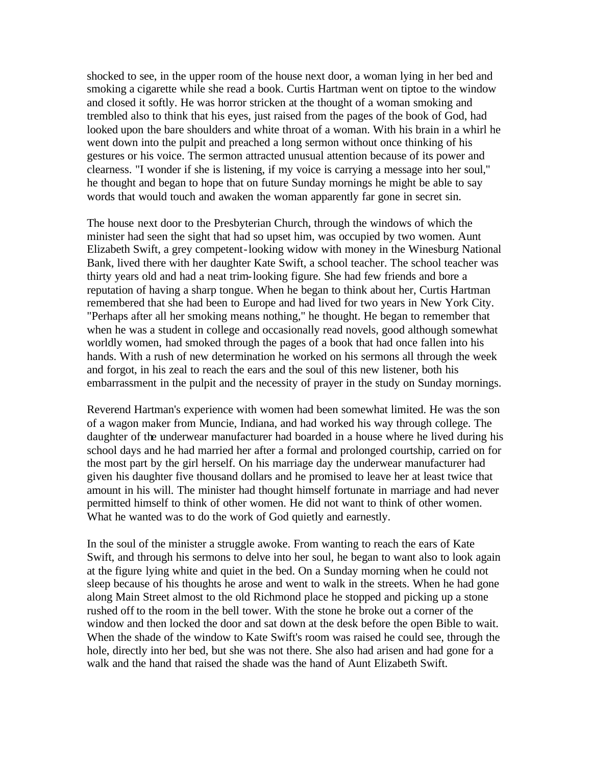shocked to see, in the upper room of the house next door, a woman lying in her bed and smoking a cigarette while she read a book. Curtis Hartman went on tiptoe to the window and closed it softly. He was horror stricken at the thought of a woman smoking and trembled also to think that his eyes, just raised from the pages of the book of God, had looked upon the bare shoulders and white throat of a woman. With his brain in a whirl he went down into the pulpit and preached a long sermon without once thinking of his gestures or his voice. The sermon attracted unusual attention because of its power and clearness. "I wonder if she is listening, if my voice is carrying a message into her soul," he thought and began to hope that on future Sunday mornings he might be able to say words that would touch and awaken the woman apparently far gone in secret sin.

The house next door to the Presbyterian Church, through the windows of which the minister had seen the sight that had so upset him, was occupied by two women. Aunt Elizabeth Swift, a grey competent-looking widow with money in the Winesburg National Bank, lived there with her daughter Kate Swift, a school teacher. The school teacher was thirty years old and had a neat trim-looking figure. She had few friends and bore a reputation of having a sharp tongue. When he began to think about her, Curtis Hartman remembered that she had been to Europe and had lived for two years in New York City. "Perhaps after all her smoking means nothing," he thought. He began to remember that when he was a student in college and occasionally read novels, good although somewhat worldly women, had smoked through the pages of a book that had once fallen into his hands. With a rush of new determination he worked on his sermons all through the week and forgot, in his zeal to reach the ears and the soul of this new listener, both his embarrassment in the pulpit and the necessity of prayer in the study on Sunday mornings.

Reverend Hartman's experience with women had been somewhat limited. He was the son of a wagon maker from Muncie, Indiana, and had worked his way through college. The daughter of the underwear manufacturer had boarded in a house where he lived during his school days and he had married her after a formal and prolonged courtship, carried on for the most part by the girl herself. On his marriage day the underwear manufacturer had given his daughter five thousand dollars and he promised to leave her at least twice that amount in his will. The minister had thought himself fortunate in marriage and had never permitted himself to think of other women. He did not want to think of other women. What he wanted was to do the work of God quietly and earnestly.

In the soul of the minister a struggle awoke. From wanting to reach the ears of Kate Swift, and through his sermons to delve into her soul, he began to want also to look again at the figure lying white and quiet in the bed. On a Sunday morning when he could not sleep because of his thoughts he arose and went to walk in the streets. When he had gone along Main Street almost to the old Richmond place he stopped and picking up a stone rushed off to the room in the bell tower. With the stone he broke out a corner of the window and then locked the door and sat down at the desk before the open Bible to wait. When the shade of the window to Kate Swift's room was raised he could see, through the hole, directly into her bed, but she was not there. She also had arisen and had gone for a walk and the hand that raised the shade was the hand of Aunt Elizabeth Swift.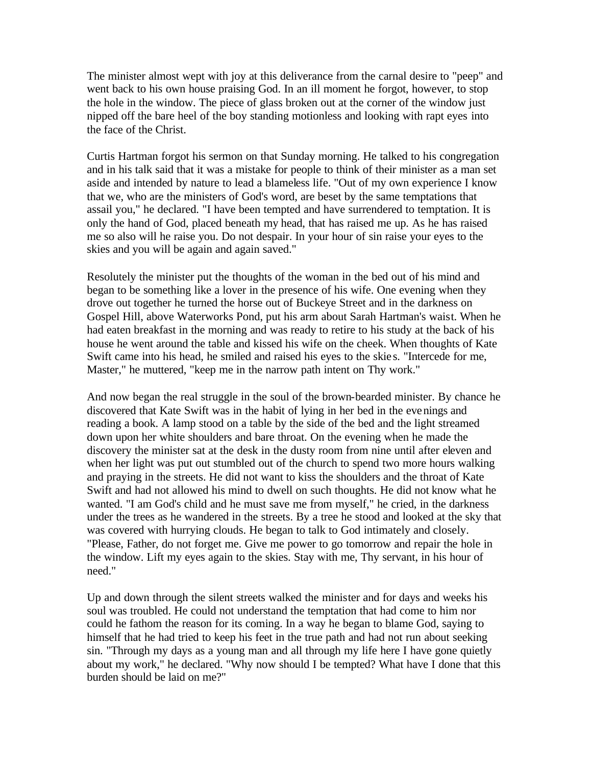The minister almost wept with joy at this deliverance from the carnal desire to "peep" and went back to his own house praising God. In an ill moment he forgot, however, to stop the hole in the window. The piece of glass broken out at the corner of the window just nipped off the bare heel of the boy standing motionless and looking with rapt eyes into the face of the Christ.

Curtis Hartman forgot his sermon on that Sunday morning. He talked to his congregation and in his talk said that it was a mistake for people to think of their minister as a man set aside and intended by nature to lead a blameless life. "Out of my own experience I know that we, who are the ministers of God's word, are beset by the same temptations that assail you," he declared. "I have been tempted and have surrendered to temptation. It is only the hand of God, placed beneath my head, that has raised me up. As he has raised me so also will he raise you. Do not despair. In your hour of sin raise your eyes to the skies and you will be again and again saved."

Resolutely the minister put the thoughts of the woman in the bed out of his mind and began to be something like a lover in the presence of his wife. One evening when they drove out together he turned the horse out of Buckeye Street and in the darkness on Gospel Hill, above Waterworks Pond, put his arm about Sarah Hartman's waist. When he had eaten breakfast in the morning and was ready to retire to his study at the back of his house he went around the table and kissed his wife on the cheek. When thoughts of Kate Swift came into his head, he smiled and raised his eyes to the skie s. "Intercede for me, Master," he muttered, "keep me in the narrow path intent on Thy work."

And now began the real struggle in the soul of the brown-bearded minister. By chance he discovered that Kate Swift was in the habit of lying in her bed in the evenings and reading a book. A lamp stood on a table by the side of the bed and the light streamed down upon her white shoulders and bare throat. On the evening when he made the discovery the minister sat at the desk in the dusty room from nine until after eleven and when her light was put out stumbled out of the church to spend two more hours walking and praying in the streets. He did not want to kiss the shoulders and the throat of Kate Swift and had not allowed his mind to dwell on such thoughts. He did not know what he wanted. "I am God's child and he must save me from myself," he cried, in the darkness under the trees as he wandered in the streets. By a tree he stood and looked at the sky that was covered with hurrying clouds. He began to talk to God intimately and closely. "Please, Father, do not forget me. Give me power to go tomorrow and repair the hole in the window. Lift my eyes again to the skies. Stay with me, Thy servant, in his hour of need."

Up and down through the silent streets walked the minister and for days and weeks his soul was troubled. He could not understand the temptation that had come to him nor could he fathom the reason for its coming. In a way he began to blame God, saying to himself that he had tried to keep his feet in the true path and had not run about seeking sin. "Through my days as a young man and all through my life here I have gone quietly about my work," he declared. "Why now should I be tempted? What have I done that this burden should be laid on me?"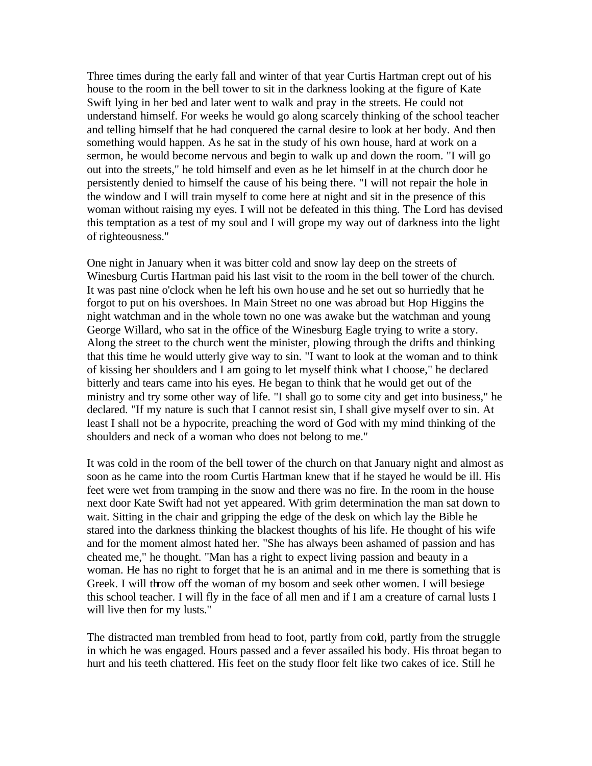Three times during the early fall and winter of that year Curtis Hartman crept out of his house to the room in the bell tower to sit in the darkness looking at the figure of Kate Swift lying in her bed and later went to walk and pray in the streets. He could not understand himself. For weeks he would go along scarcely thinking of the school teacher and telling himself that he had conquered the carnal desire to look at her body. And then something would happen. As he sat in the study of his own house, hard at work on a sermon, he would become nervous and begin to walk up and down the room. "I will go out into the streets," he told himself and even as he let himself in at the church door he persistently denied to himself the cause of his being there. "I will not repair the hole in the window and I will train myself to come here at night and sit in the presence of this woman without raising my eyes. I will not be defeated in this thing. The Lord has devised this temptation as a test of my soul and I will grope my way out of darkness into the light of righteousness."

One night in January when it was bitter cold and snow lay deep on the streets of Winesburg Curtis Hartman paid his last visit to the room in the bell tower of the church. It was past nine o'clock when he left his own house and he set out so hurriedly that he forgot to put on his overshoes. In Main Street no one was abroad but Hop Higgins the night watchman and in the whole town no one was awake but the watchman and young George Willard, who sat in the office of the Winesburg Eagle trying to write a story. Along the street to the church went the minister, plowing through the drifts and thinking that this time he would utterly give way to sin. "I want to look at the woman and to think of kissing her shoulders and I am going to let myself think what I choose," he declared bitterly and tears came into his eyes. He began to think that he would get out of the ministry and try some other way of life. "I shall go to some city and get into business," he declared. "If my nature is such that I cannot resist sin, I shall give myself over to sin. At least I shall not be a hypocrite, preaching the word of God with my mind thinking of the shoulders and neck of a woman who does not belong to me."

It was cold in the room of the bell tower of the church on that January night and almost as soon as he came into the room Curtis Hartman knew that if he stayed he would be ill. His feet were wet from tramping in the snow and there was no fire. In the room in the house next door Kate Swift had not yet appeared. With grim determination the man sat down to wait. Sitting in the chair and gripping the edge of the desk on which lay the Bible he stared into the darkness thinking the blackest thoughts of his life. He thought of his wife and for the moment almost hated her. "She has always been ashamed of passion and has cheated me," he thought. "Man has a right to expect living passion and beauty in a woman. He has no right to forget that he is an animal and in me there is something that is Greek. I will throw off the woman of my bosom and seek other women. I will besiege this school teacher. I will fly in the face of all men and if I am a creature of carnal lusts I will live then for my lusts."

The distracted man trembled from head to foot, partly from cold, partly from the struggle in which he was engaged. Hours passed and a fever assailed his body. His throat began to hurt and his teeth chattered. His feet on the study floor felt like two cakes of ice. Still he